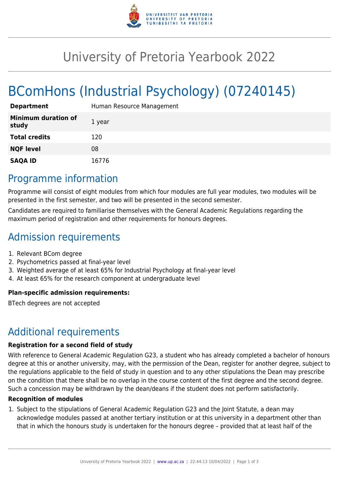

## University of Pretoria Yearbook 2022

# BComHons (Industrial Psychology) (07240145)

| <b>Department</b>                   | Human Resource Management |
|-------------------------------------|---------------------------|
| <b>Minimum duration of</b><br>study | 1 year                    |
| <b>Total credits</b>                | 120                       |
| <b>NQF level</b>                    | 08                        |
| <b>SAQA ID</b>                      | 16776                     |

### Programme information

Programme will consist of eight modules from which four modules are full year modules, two modules will be presented in the first semester, and two will be presented in the second semester.

Candidates are required to familiarise themselves with the General Academic Regulations regarding the maximum period of registration and other requirements for honours degrees.

## Admission requirements

- 1. Relevant BCom degree
- 2. Psychometrics passed at final-year level
- 3. Weighted average of at least 65% for Industrial Psychology at final-year level
- 4. At least 65% for the research component at undergraduate level

#### **Plan-specific admission requirements:**

BTech degrees are not accepted

### Additional requirements

#### **Registration for a second field of study**

With reference to General Academic Regulation G23, a student who has already completed a bachelor of honours degree at this or another university, may, with the permission of the Dean, register for another degree, subject to the regulations applicable to the field of study in question and to any other stipulations the Dean may prescribe on the condition that there shall be no overlap in the course content of the first degree and the second degree. Such a concession may be withdrawn by the dean/deans if the student does not perform satisfactorily.

#### **Recognition of modules**

1. Subject to the stipulations of General Academic Regulation G23 and the Joint Statute, a dean may acknowledge modules passed at another tertiary institution or at this university in a department other than that in which the honours study is undertaken for the honours degree – provided that at least half of the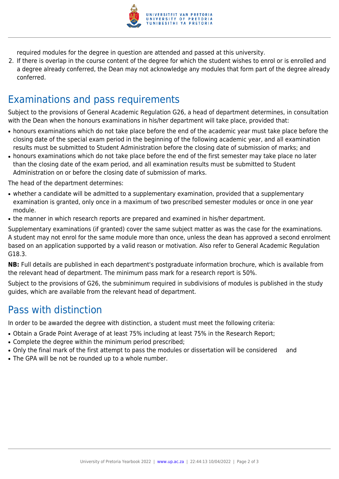

required modules for the degree in question are attended and passed at this university.

2. If there is overlap in the course content of the degree for which the student wishes to enrol or is enrolled and a degree already conferred, the Dean may not acknowledge any modules that form part of the degree already conferred.

### Examinations and pass requirements

Subject to the provisions of General Academic Regulation G26, a head of department determines, in consultation with the Dean when the honours examinations in his/her department will take place, provided that:

- honours examinations which do not take place before the end of the academic year must take place before the closing date of the special exam period in the beginning of the following academic year, and all examination results must be submitted to Student Administration before the closing date of submission of marks; and
- honours examinations which do not take place before the end of the first semester may take place no later than the closing date of the exam period, and all examination results must be submitted to Student Administration on or before the closing date of submission of marks.

The head of the department determines:

- whether a candidate will be admitted to a supplementary examination, provided that a supplementary examination is granted, only once in a maximum of two prescribed semester modules or once in one year module.
- the manner in which research reports are prepared and examined in his/her department.

Supplementary examinations (if granted) cover the same subject matter as was the case for the examinations. A student may not enrol for the same module more than once, unless the dean has approved a second enrolment based on an application supported by a valid reason or motivation. Also refer to General Academic Regulation G18.3.

**NB:** Full details are published in each department's postgraduate information brochure, which is available from the relevant head of department. The minimum pass mark for a research report is 50%.

Subject to the provisions of G26, the subminimum required in subdivisions of modules is published in the study guides, which are available from the relevant head of department.

### Pass with distinction

In order to be awarded the degree with distinction, a student must meet the following criteria:

- Obtain a Grade Point Average of at least 75% including at least 75% in the Research Report;
- Complete the degree within the minimum period prescribed:
- Only the final mark of the first attempt to pass the modules or dissertation will be considered and
- The GPA will be not be rounded up to a whole number.